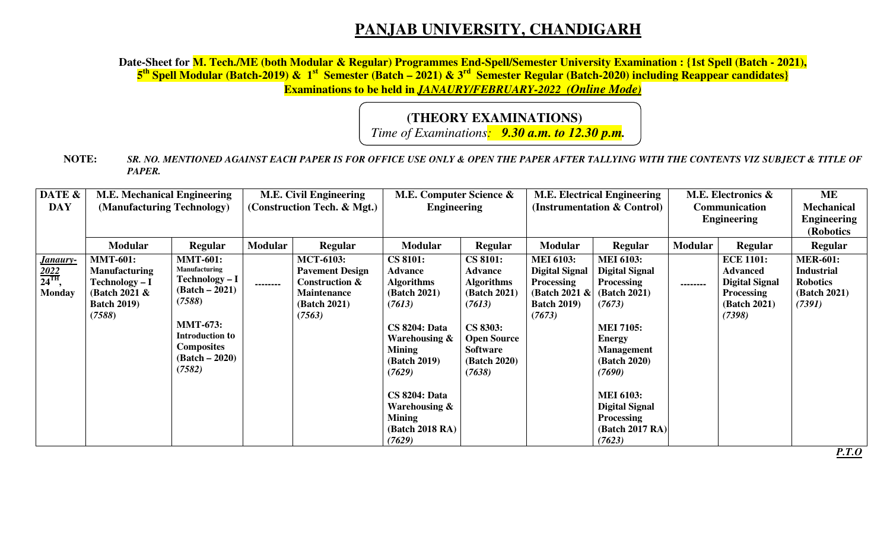## **PANJAB UNIVERSITY, CHANDIGARH**

Date-Sheet for M. Tech./ME (both Modular & Regular) Programmes End-Spell/Semester University Examination : {1st Spell (Batch - 2021),<br><mark>5<sup>th</sup> Spell Modular (Batch-2019) & 1<sup>st</sup> Semester (Batch – 2021) & 3<sup>rd</sup> Semester Regul</mark> **Examinations to be held in** *JANAURY/FEBRUARY-2022 (Online Mode)*

## **(THEORY EXAMINATIONS)**

*Time of Examinations: 9.30 a.m. to 12.30 p.m.* 

**NOTE:** *SR. NO. MENTIONED AGAINST EACH PAPER IS FOR OFFICE USE ONLY & OPEN THE PAPER AFTER TALLYING WITH THE CONTENTS VIZ SUBJECT & TITLE OF PAPER.* 

| DATE &                                                | <b>M.E. Mechanical Engineering</b>                                                                                |                                                                                                                                                                                         | <b>M.E. Civil Engineering</b> |                                                                                                                         | M.E. Computer Science &                                                                                                                                                                                                                                                         |                                                                                                                                                                 | <b>M.E. Electrical Engineering</b>                                                                              |                                                                                                                                                                                                                                                                                    | M.E. Electronics &                         |                                                                                                                    | ME                                                                                |
|-------------------------------------------------------|-------------------------------------------------------------------------------------------------------------------|-----------------------------------------------------------------------------------------------------------------------------------------------------------------------------------------|-------------------------------|-------------------------------------------------------------------------------------------------------------------------|---------------------------------------------------------------------------------------------------------------------------------------------------------------------------------------------------------------------------------------------------------------------------------|-----------------------------------------------------------------------------------------------------------------------------------------------------------------|-----------------------------------------------------------------------------------------------------------------|------------------------------------------------------------------------------------------------------------------------------------------------------------------------------------------------------------------------------------------------------------------------------------|--------------------------------------------|--------------------------------------------------------------------------------------------------------------------|-----------------------------------------------------------------------------------|
| <b>DAY</b>                                            | (Manufacturing Technology)                                                                                        |                                                                                                                                                                                         | (Construction Tech. & Mgt.)   |                                                                                                                         | <b>Engineering</b>                                                                                                                                                                                                                                                              |                                                                                                                                                                 | (Instrumentation & Control)                                                                                     |                                                                                                                                                                                                                                                                                    | <b>Communication</b><br><b>Engineering</b> |                                                                                                                    | <b>Mechanical</b><br><b>Engineering</b>                                           |
|                                                       |                                                                                                                   |                                                                                                                                                                                         |                               |                                                                                                                         |                                                                                                                                                                                                                                                                                 |                                                                                                                                                                 |                                                                                                                 |                                                                                                                                                                                                                                                                                    |                                            |                                                                                                                    | (Robotics                                                                         |
|                                                       | <b>Modular</b>                                                                                                    | <b>Regular</b>                                                                                                                                                                          | <b>Modular</b>                | <b>Regular</b>                                                                                                          | <b>Modular</b>                                                                                                                                                                                                                                                                  | Regular                                                                                                                                                         | <b>Modular</b>                                                                                                  | <b>Regular</b>                                                                                                                                                                                                                                                                     | Modular                                    | <b>Regular</b>                                                                                                     | <b>Regular</b>                                                                    |
| <u>Janaury-</u><br>$\frac{2022}{24}$<br><b>Monday</b> | <b>MMT-601:</b><br><b>Manufacturing</b><br><b>Technology - I</b><br>(Batch 2021 &<br><b>Batch 2019)</b><br>(7588) | <b>MMT-601:</b><br><b>Manufacturing</b><br>Technology – I<br>$(Batch - 2021)$<br>(7588)<br><b>MMT-673:</b><br><b>Introduction to</b><br><b>Composites</b><br>$(Batch - 2020)$<br>(7582) | --------                      | <b>MCT-6103:</b><br><b>Pavement Design</b><br><b>Construction &amp;</b><br><b>Maintenance</b><br>(Batch 2021)<br>(7563) | <b>CS 8101:</b><br><b>Advance</b><br><b>Algorithms</b><br><b>(Batch 2021)</b><br>(7613)<br><b>CS 8204: Data</b><br>Warehousing $\&$<br><b>Mining</b><br><b>(Batch 2019)</b><br>(7629)<br><b>CS 8204: Data</b><br>Warehousing $\&$<br><b>Mining</b><br>(Batch 2018 RA)<br>(7629) | <b>CS 8101:</b><br>Advance<br><b>Algorithms</b><br>(Batch 2021)<br>(7613)<br>CS 8303:<br><b>Open Source</b><br><b>Software</b><br><b>(Batch 2020)</b><br>(7638) | <b>MEI 6103:</b><br><b>Digital Signal</b><br><b>Processing</b><br>(Batch 2021 &<br><b>Batch 2019)</b><br>(7673) | <b>MEI 6103:</b><br><b>Digital Signal</b><br><b>Processing</b><br>(Batch 2021)<br>(7673)<br><b>MEI 7105:</b><br><b>Energy</b><br><b>Management</b><br><b>(Batch 2020)</b><br>(7690)<br><b>MEI 6103:</b><br><b>Digital Signal</b><br><b>Processing</b><br>(Batch 2017 RA)<br>(7623) | --------                                   | <b>ECE 1101:</b><br><b>Advanced</b><br><b>Digital Signal</b><br><b>Processing</b><br><b>(Batch 2021)</b><br>(7398) | <b>MER-601:</b><br><b>Industrial</b><br><b>Robotics</b><br>(Batch 2021)<br>(7391) |

*P.T.O*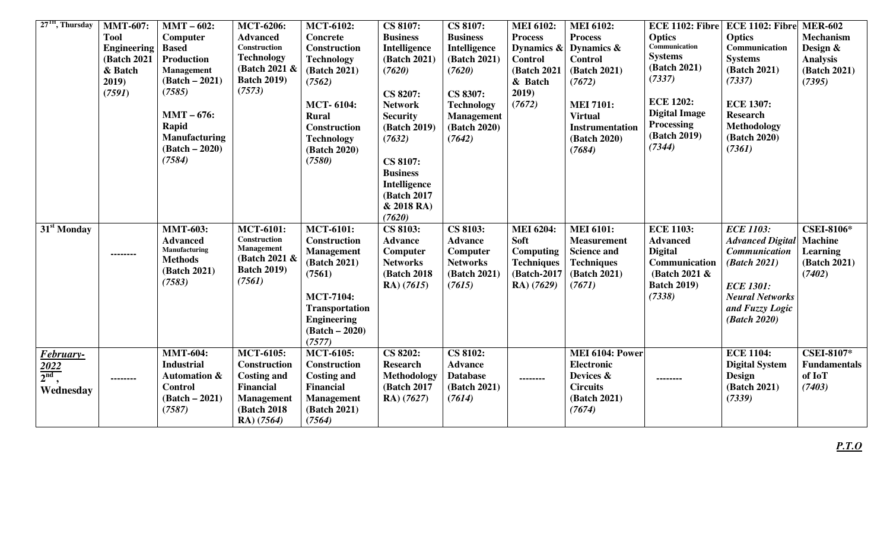| $27TH$ , Thursday       | <b>MMT-607:</b>    | $MMT - 602$ :                                | <b>MCT-6206:</b>                 | <b>MCT-6102:</b>                         | <b>CS 8107:</b>                 | <b>CS 8107:</b>                   | <b>MEI 6102:</b>         | <b>MEI 6102:</b>                         |                                   | ECE 1102: Fibre ECE 1102: Fibre                 | <b>MER-602</b>                |
|-------------------------|--------------------|----------------------------------------------|----------------------------------|------------------------------------------|---------------------------------|-----------------------------------|--------------------------|------------------------------------------|-----------------------------------|-------------------------------------------------|-------------------------------|
|                         | <b>Tool</b>        | Computer                                     | <b>Advanced</b>                  | <b>Concrete</b>                          | <b>Business</b>                 | <b>Business</b>                   | <b>Process</b>           | <b>Process</b>                           | <b>Optics</b>                     | <b>Optics</b>                                   | <b>Mechanism</b>              |
|                         | <b>Engineering</b> | <b>Based</b>                                 | Construction                     | Construction                             | Intelligence                    | Intelligence                      | Dynamics &               | Dynamics $\&$                            | Communication                     | Communication                                   | Design &                      |
|                         | (Batch 2021)       | <b>Production</b>                            | <b>Technology</b>                | <b>Technology</b>                        | (Batch 2021)                    | (Batch 2021)                      | <b>Control</b>           | <b>Control</b>                           | <b>Systems</b><br>(Batch 2021)    | <b>Systems</b>                                  | <b>Analysis</b>               |
|                         | & Batch            | Management                                   | (Batch 2021 &                    | (Batch 2021)                             | (7620)                          | (7620)                            | (Batch 2021              | (Batch 2021)                             | (7337)                            | (Batch 2021)                                    | (Batch 2021)                  |
|                         | 2019)              | $(Batch - 2021)$                             | <b>Batch 2019)</b><br>(7573)     | (7562)                                   |                                 |                                   | & Batch                  | (7672)                                   |                                   | (7337)                                          | (7395)                        |
|                         | (7591)             | (7585)                                       |                                  |                                          | CS 8207:                        | CS 8307:                          | 2019)                    |                                          | <b>ECE 1202:</b>                  | <b>ECE 1307:</b>                                |                               |
|                         |                    | $MMT - 676$ :                                |                                  | <b>MCT-6104:</b>                         | <b>Network</b>                  | <b>Technology</b>                 | (7672)                   | <b>MEI 7101:</b>                         | <b>Digital Image</b>              | <b>Research</b>                                 |                               |
|                         |                    | Rapid                                        |                                  | <b>Rural</b><br><b>Construction</b>      | <b>Security</b><br>(Batch 2019) | <b>Management</b><br>(Batch 2020) |                          | <b>Virtual</b><br><b>Instrumentation</b> | <b>Processing</b>                 | Methodology                                     |                               |
|                         |                    | <b>Manufacturing</b>                         |                                  | <b>Technology</b>                        | (7632)                          | (7642)                            |                          | (Batch 2020)                             | (Batch 2019)                      | (Batch 2020)                                    |                               |
|                         |                    | $(Batch - 2020)$                             |                                  | (Batch 2020)                             |                                 |                                   |                          | (7684)                                   | (7344)                            | (7361)                                          |                               |
|                         |                    | (7584)                                       |                                  | (7580)                                   | <b>CS 8107:</b>                 |                                   |                          |                                          |                                   |                                                 |                               |
|                         |                    |                                              |                                  |                                          | <b>Business</b>                 |                                   |                          |                                          |                                   |                                                 |                               |
|                         |                    |                                              |                                  |                                          | Intelligence                    |                                   |                          |                                          |                                   |                                                 |                               |
|                         |                    |                                              |                                  |                                          | (Batch 2017                     |                                   |                          |                                          |                                   |                                                 |                               |
|                         |                    |                                              |                                  |                                          | & 2018 RA)                      |                                   |                          |                                          |                                   |                                                 |                               |
|                         |                    |                                              |                                  |                                          | (7620)                          |                                   |                          |                                          |                                   |                                                 |                               |
| 31 <sup>st</sup> Monday |                    | <b>MMT-603:</b>                              | <b>MCT-6101:</b><br>Construction | <b>MCT-6101:</b>                         | CS 8103:                        | CS 8103:                          | <b>MEI 6204:</b>         | <b>MEI 6101:</b>                         | <b>ECE 1103:</b>                  | <b>ECE 1103:</b>                                | <b>CSEI-8106*</b>             |
|                         |                    | <b>Advanced</b><br>Manufacturing             | Management                       | <b>Construction</b><br><b>Management</b> | <b>Advance</b><br>Computer      | <b>Advance</b><br>Computer        | Soft<br><b>Computing</b> | <b>Measurement</b><br><b>Science and</b> | <b>Advanced</b><br><b>Digital</b> | <b>Advanced Digital</b><br><b>Communication</b> | <b>Machine</b><br>Learning    |
|                         | --------           | <b>Methods</b>                               | (Batch 2021 &                    | (Batch 2021)                             | <b>Networks</b>                 | <b>Networks</b>                   | <b>Techniques</b>        | <b>Techniques</b>                        | Communication                     | (Batch 2021)                                    | (Batch 2021)                  |
|                         |                    | (Batch 2021)                                 | <b>Batch 2019)</b>               | (7561)                                   | (Batch 2018)                    | (Batch 2021)                      | (Batch-2017              | (Batch 2021)                             | (Batch 2021 &                     |                                                 | (7402)                        |
|                         |                    | (7583)                                       | (7561)                           |                                          | RA) (7615)                      | (7615)                            | RA) (7629)               | (7671)                                   | <b>Batch 2019</b> )               | <b>ECE 1301:</b>                                |                               |
|                         |                    |                                              |                                  | <b>MCT-7104:</b>                         |                                 |                                   |                          |                                          | (7338)                            | <b>Neural Networks</b>                          |                               |
|                         |                    |                                              |                                  | <b>Transportation</b>                    |                                 |                                   |                          |                                          |                                   | and Fuzzy Logic                                 |                               |
|                         |                    |                                              |                                  | <b>Engineering</b>                       |                                 |                                   |                          |                                          |                                   | (Batch 2020)                                    |                               |
|                         |                    |                                              |                                  | $(Batch - 2020)$                         |                                 |                                   |                          |                                          |                                   |                                                 |                               |
|                         |                    |                                              |                                  | (7577)                                   |                                 |                                   |                          |                                          |                                   |                                                 |                               |
| February-               |                    | <b>MMT-604:</b>                              | <b>MCT-6105:</b>                 | <b>MCT-6105:</b>                         | CS 8202:                        | <b>CS 8102:</b>                   |                          | MEI 6104: Power                          |                                   | <b>ECE 1104:</b>                                | <b>CSEI-8107*</b>             |
| $\frac{2022}{2^{nd}}$   |                    | <b>Industrial</b><br><b>Automation &amp;</b> | Construction                     | <b>Construction</b>                      | <b>Research</b>                 | <b>Advance</b><br><b>Database</b> |                          | <b>Electronic</b><br>Devices &           |                                   | <b>Digital System</b>                           | <b>Fundamentals</b><br>of IoT |
|                         | --------           | <b>Control</b>                               | <b>Costing and</b><br>Financial  | <b>Costing and</b><br><b>Financial</b>   | Methodology<br>(Batch 2017      | (Batch 2021)                      | --------                 | <b>Circuits</b>                          | --------                          | <b>Design</b><br>(Batch 2021)                   | (7403)                        |
| Wednesday               |                    | $(Batch - 2021)$                             | <b>Management</b>                | <b>Management</b>                        | <b>RA</b> ) (7627)              | (7614)                            |                          | (Batch 2021)                             |                                   | (7339)                                          |                               |
|                         |                    | (7587)                                       | (Batch 2018)                     | (Batch 2021)                             |                                 |                                   |                          | (7674)                                   |                                   |                                                 |                               |
|                         |                    |                                              | RA) (7564)                       | (7564)                                   |                                 |                                   |                          |                                          |                                   |                                                 |                               |